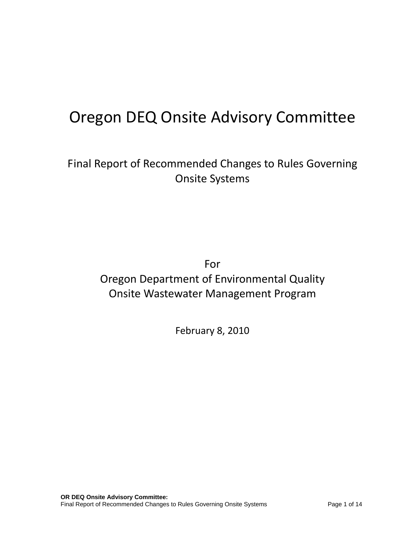# Oregon DEQ Onsite Advisory Committee

Final Report of Recommended Changes to Rules Governing Onsite Systems

For

# Oregon Department of Environmental Quality Onsite Wastewater Management Program

February 8, 2010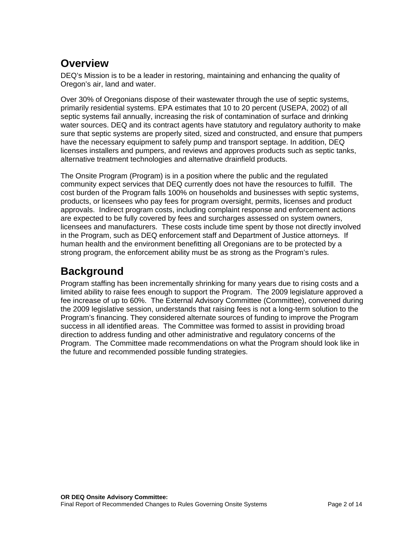# **Overview**

DEQ's Mission is to be a leader in restoring, maintaining and enhancing the quality of Oregon's air, land and water.

Over 30% of Oregonians dispose of their wastewater through the use of septic systems, primarily residential systems. EPA estimates that 10 to 20 percent (USEPA, 2002) of all septic systems fail annually, increasing the risk of contamination of surface and drinking water sources. DEQ and its contract agents have statutory and regulatory authority to make sure that septic systems are properly sited, sized and constructed, and ensure that pumpers have the necessary equipment to safely pump and transport septage. In addition, DEQ licenses installers and pumpers, and reviews and approves products such as septic tanks, alternative treatment technologies and alternative drainfield products.

The Onsite Program (Program) is in a position where the public and the regulated community expect services that DEQ currently does not have the resources to fulfill. The cost burden of the Program falls 100% on households and businesses with septic systems, products, or licensees who pay fees for program oversight, permits, licenses and product approvals. Indirect program costs, including complaint response and enforcement actions are expected to be fully covered by fees and surcharges assessed on system owners, licensees and manufacturers. These costs include time spent by those not directly involved in the Program, such as DEQ enforcement staff and Department of Justice attorneys. If human health and the environment benefitting all Oregonians are to be protected by a strong program, the enforcement ability must be as strong as the Program's rules.

# **Background**

Program staffing has been incrementally shrinking for many years due to rising costs and a limited ability to raise fees enough to support the Program. The 2009 legislature approved a fee increase of up to 60%. The External Advisory Committee (Committee), convened during the 2009 legislative session, understands that raising fees is not a long-term solution to the Program's financing. They considered alternate sources of funding to improve the Program success in all identified areas. The Committee was formed to assist in providing broad direction to address funding and other administrative and regulatory concerns of the Program. The Committee made recommendations on what the Program should look like in the future and recommended possible funding strategies.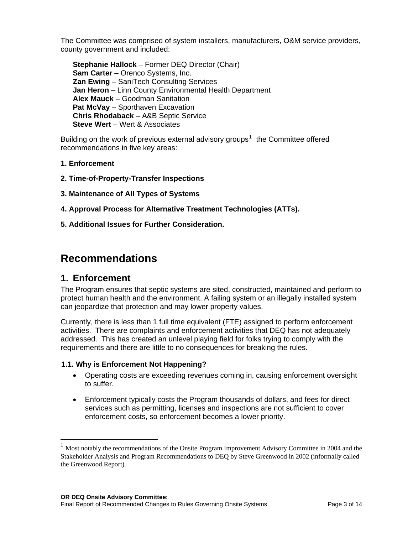The Committee was comprised of system installers, manufacturers, O&M service providers, county government and included:

**Stephanie Hallock** – Former DEQ Director (Chair) **Sam Carter** – Orenco Systems, Inc. **Zan Ewing** – SaniTech Consulting Services **Jan Heron** – Linn County Environmental Health Department **Alex Mauck** – Goodman Sanitation **Pat McVay** – Sporthaven Excavation **Chris Rhodaback** – A&B Septic Service **Steve Wert** – Wert & Associates

Building on the work of previous external advisory groups<sup>[1](#page-2-0)</sup> the Committee offered recommendations in five key areas:

- **1. Enforcement**
- **2. Time-of-Property-Transfer Inspections**
- **3. Maintenance of All Types of Systems**
- **4. Approval Process for Alternative Treatment Technologies (ATTs).**
- **5. Additional Issues for Further Consideration.**

# **Recommendations**

### **1. Enforcement**

 $\overline{a}$ 

The Program ensures that septic systems are sited, constructed, maintained and perform to protect human health and the environment. A failing system or an illegally installed system can jeopardize that protection and may lower property values.

Currently, there is less than 1 full time equivalent (FTE) assigned to perform enforcement activities. There are complaints and enforcement activities that DEQ has not adequately addressed. This has created an unlevel playing field for folks trying to comply with the requirements and there are little to no consequences for breaking the rules.

#### **1.1. Why is Enforcement Not Happening?**

- Operating costs are exceeding revenues coming in, causing enforcement oversight to suffer.
- Enforcement typically costs the Program thousands of dollars, and fees for direct services such as permitting, licenses and inspections are not sufficient to cover enforcement costs, so enforcement becomes a lower priority.

<span id="page-2-0"></span> $<sup>1</sup>$  Most notably the recommendations of the Onsite Program Improvement Advisory Committee in 2004 and the</sup> Stakeholder Analysis and Program Recommendations to DEQ by Steve Greenwood in 2002 (informally called the Greenwood Report).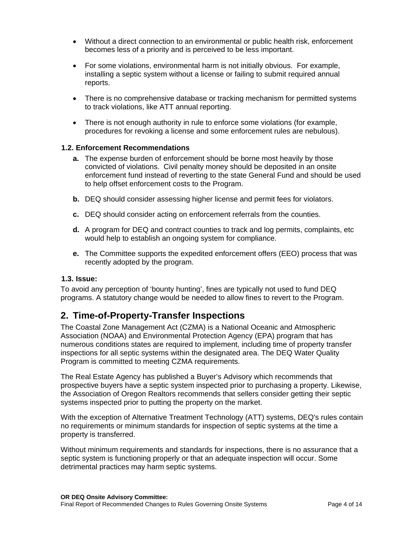- Without a direct connection to an environmental or public health risk, enforcement becomes less of a priority and is perceived to be less important.
- For some violations, environmental harm is not initially obvious. For example, installing a septic system without a license or failing to submit required annual reports.
- There is no comprehensive database or tracking mechanism for permitted systems to track violations, like ATT annual reporting.
- There is not enough authority in rule to enforce some violations (for example, procedures for revoking a license and some enforcement rules are nebulous).

#### **1.2. Enforcement Recommendations**

- **a.** The expense burden of enforcement should be borne most heavily by those convicted of violations. Civil penalty money should be deposited in an onsite enforcement fund instead of reverting to the state General Fund and should be used to help offset enforcement costs to the Program.
- **b.** DEQ should consider assessing higher license and permit fees for violators.
- **c.** DEQ should consider acting on enforcement referrals from the counties.
- **d.** A program for DEQ and contract counties to track and log permits, complaints, etc would help to establish an ongoing system for compliance.
- **e.** The Committee supports the expedited enforcement offers (EEO) process that was recently adopted by the program.

#### **1.3. Issue:**

To avoid any perception of 'bounty hunting', fines are typically not used to fund DEQ programs. A statutory change would be needed to allow fines to revert to the Program.

### **2. Time-of-Property-Transfer Inspections**

The Coastal Zone Management Act (CZMA) is a National Oceanic and Atmospheric Association (NOAA) and Environmental Protection Agency (EPA) program that has numerous conditions states are required to implement, including time of property transfer inspections for all septic systems within the designated area. The DEQ Water Quality Program is committed to meeting CZMA requirements.

The Real Estate Agency has published a Buyer's Advisory which recommends that prospective buyers have a septic system inspected prior to purchasing a property. Likewise, the Association of Oregon Realtors recommends that sellers consider getting their septic systems inspected prior to putting the property on the market.

With the exception of Alternative Treatment Technology (ATT) systems, DEQ's rules contain no requirements or minimum standards for inspection of septic systems at the time a property is transferred.

Without minimum requirements and standards for inspections, there is no assurance that a septic system is functioning properly or that an adequate inspection will occur. Some detrimental practices may harm septic systems.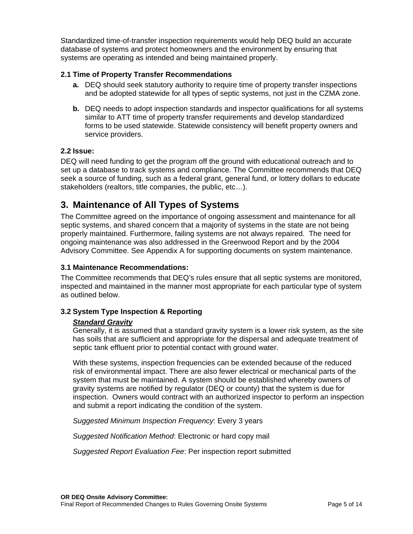Standardized time-of-transfer inspection requirements would help DEQ build an accurate database of systems and protect homeowners and the environment by ensuring that systems are operating as intended and being maintained properly.

#### **2.1 Time of Property Transfer Recommendations**

- **a.** DEQ should seek statutory authority to require time of property transfer inspections and be adopted statewide for all types of septic systems, not just in the CZMA zone.
- **b.** DEQ needs to adopt inspection standards and inspector qualifications for all systems similar to ATT time of property transfer requirements and develop standardized forms to be used statewide. Statewide consistency will benefit property owners and service providers.

#### **2.2 Issue:**

DEQ will need funding to get the program off the ground with educational outreach and to set up a database to track systems and compliance. The Committee recommends that DEQ seek a source of funding, such as a federal grant, general fund, or lottery dollars to educate stakeholders (realtors, title companies, the public, etc…).

## **3. Maintenance of All Types of Systems**

The Committee agreed on the importance of ongoing assessment and maintenance for all septic systems, and shared concern that a majority of systems in the state are not being properly maintained. Furthermore, failing systems are not always repaired. The need for ongoing maintenance was also addressed in the Greenwood Report and by the 2004 Advisory Committee. See Appendix A for supporting documents on system maintenance.

#### **3.1 Maintenance Recommendations:**

The Committee recommends that DEQ's rules ensure that all septic systems are monitored, inspected and maintained in the manner most appropriate for each particular type of system as outlined below.

#### **3.2 System Type Inspection & Reporting**

#### *Standard Gravity*

Generally, it is assumed that a standard gravity system is a lower risk system, as the site has soils that are sufficient and appropriate for the dispersal and adequate treatment of septic tank effluent prior to potential contact with ground water.

With these systems, inspection frequencies can be extended because of the reduced risk of environmental impact. There are also fewer electrical or mechanical parts of the system that must be maintained. A system should be established whereby owners of gravity systems are notified by regulator (DEQ or county) that the system is due for inspection. Owners would contract with an authorized inspector to perform an inspection and submit a report indicating the condition of the system.

*Suggested Minimum Inspection Frequency*: Every 3 years

*Suggested Notification Method*: Electronic or hard copy mail

*Suggested Report Evaluation Fee*: Per inspection report submitted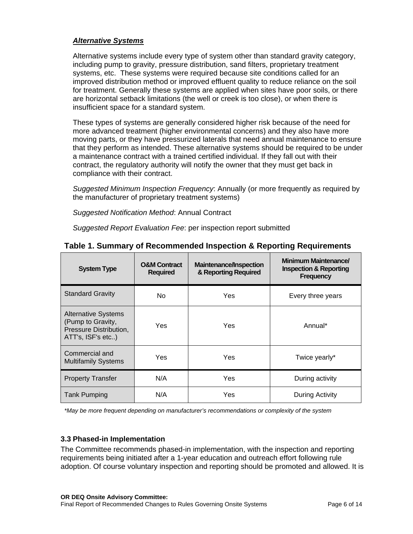#### *Alternative Systems*

Alternative systems include every type of system other than standard gravity category, including pump to gravity, pressure distribution, sand filters, proprietary treatment systems, etc. These systems were required because site conditions called for an improved distribution method or improved effluent quality to reduce reliance on the soil for treatment. Generally these systems are applied when sites have poor soils, or there are horizontal setback limitations (the well or creek is too close), or when there is insufficient space for a standard system.

These types of systems are generally considered higher risk because of the need for more advanced treatment (higher environmental concerns) and they also have more moving parts, or they have pressurized laterals that need annual maintenance to ensure that they perform as intended. These alternative systems should be required to be under a maintenance contract with a trained certified individual. If they fall out with their contract, the regulatory authority will notify the owner that they must get back in compliance with their contract.

*Suggested Minimum Inspection Frequency*: Annually (or more frequently as required by the manufacturer of proprietary treatment systems)

*Suggested Notification Method*: Annual Contract

*Suggested Report Evaluation Fee*: per inspection report submitted

| <b>System Type</b>                                                                             | <b>O&amp;M Contract</b><br><b>Required</b> | <b>Maintenance/Inspection</b><br>& Reporting Required | <b>Minimum Maintenance/</b><br><b>Inspection &amp; Reporting</b><br><b>Frequency</b> |
|------------------------------------------------------------------------------------------------|--------------------------------------------|-------------------------------------------------------|--------------------------------------------------------------------------------------|
| <b>Standard Gravity</b>                                                                        | No                                         | Yes                                                   | Every three years                                                                    |
| <b>Alternative Systems</b><br>(Pump to Gravity,<br>Pressure Distribution,<br>ATT's, ISF's etc) | Yes                                        | Yes                                                   | Annual*                                                                              |
| Commercial and<br><b>Multifamily Systems</b>                                                   | Yes                                        | Yes                                                   | Twice yearly*                                                                        |
| <b>Property Transfer</b>                                                                       | N/A                                        | Yes                                                   | During activity                                                                      |
| <b>Tank Pumping</b>                                                                            | N/A                                        | Yes                                                   | During Activity                                                                      |

#### **Table 1. Summary of Recommended Inspection & Reporting Requirements**

*\*May be more frequent depending on manufacturer's recommendations or complexity of the system* 

#### **3.3 Phased-in Implementation**

The Committee recommends phased-in implementation, with the inspection and reporting requirements being initiated after a 1-year education and outreach effort following rule adoption. Of course voluntary inspection and reporting should be promoted and allowed. It is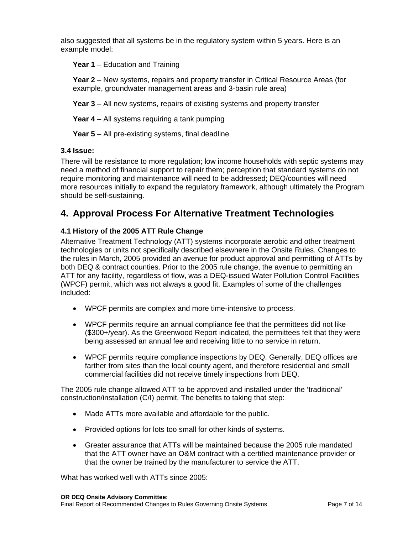also suggested that all systems be in the regulatory system within 5 years. Here is an example model:

**Year 1** – Education and Training

**Year 2** – New systems, repairs and property transfer in Critical Resource Areas (for example, groundwater management areas and 3-basin rule area)

**Year 3** – All new systems, repairs of existing systems and property transfer

**Year 4** – All systems requiring a tank pumping

**Year 5** – All pre-existing systems, final deadline

#### **3.4 Issue:**

There will be resistance to more regulation; low income households with septic systems may need a method of financial support to repair them; perception that standard systems do not require monitoring and maintenance will need to be addressed; DEQ/counties will need more resources initially to expand the regulatory framework, although ultimately the Program should be self-sustaining.

## **4. Approval Process For Alternative Treatment Technologies**

#### **4.1 History of the 2005 ATT Rule Change**

Alternative Treatment Technology (ATT) systems incorporate aerobic and other treatment technologies or units not specifically described elsewhere in the Onsite Rules. Changes to the rules in March, 2005 provided an avenue for product approval and permitting of ATTs by both DEQ & contract counties. Prior to the 2005 rule change, the avenue to permitting an ATT for any facility, regardless of flow, was a DEQ-issued Water Pollution Control Facilities (WPCF) permit, which was not always a good fit. Examples of some of the challenges included:

- WPCF permits are complex and more time-intensive to process.
- WPCF permits require an annual compliance fee that the permittees did not like (\$300+/year). As the Greenwood Report indicated, the permittees felt that they were being assessed an annual fee and receiving little to no service in return.
- WPCF permits require compliance inspections by DEQ. Generally, DEQ offices are farther from sites than the local county agent, and therefore residential and small commercial facilities did not receive timely inspections from DEQ.

The 2005 rule change allowed ATT to be approved and installed under the 'traditional' construction/installation (C/I) permit. The benefits to taking that step:

- Made ATTs more available and affordable for the public.
- Provided options for lots too small for other kinds of systems.
- Greater assurance that ATTs will be maintained because the 2005 rule mandated that the ATT owner have an O&M contract with a certified maintenance provider or that the owner be trained by the manufacturer to service the ATT.

What has worked well with ATTs since 2005;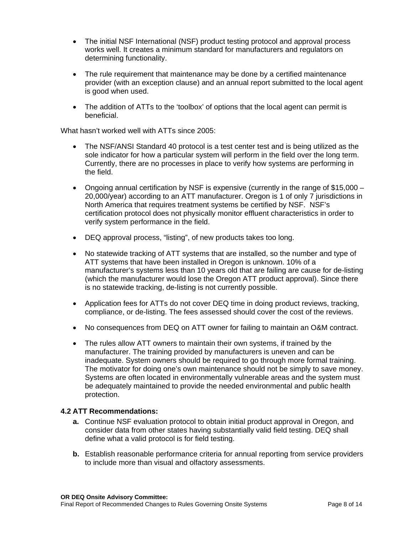- The initial NSF International (NSF) product testing protocol and approval process works well. It creates a minimum standard for manufacturers and regulators on determining functionality.
- The rule requirement that maintenance may be done by a certified maintenance provider (with an exception clause) and an annual report submitted to the local agent is good when used.
- The addition of ATTs to the 'toolbox' of options that the local agent can permit is beneficial.

What hasn't worked well with ATTs since 2005:

- The NSF/ANSI Standard 40 protocol is a test center test and is being utilized as the sole indicator for how a particular system will perform in the field over the long term. Currently, there are no processes in place to verify how systems are performing in the field.
- Ongoing annual certification by NSF is expensive (currently in the range of \$15,000 20,000/year) according to an ATT manufacturer. Oregon is 1 of only 7 jurisdictions in North America that requires treatment systems be certified by NSF. NSF's certification protocol does not physically monitor effluent characteristics in order to verify system performance in the field.
- DEQ approval process, "listing", of new products takes too long.
- No statewide tracking of ATT systems that are installed, so the number and type of ATT systems that have been installed in Oregon is unknown. 10% of a manufacturer's systems less than 10 years old that are failing are cause for de-listing (which the manufacturer would lose the Oregon ATT product approval). Since there is no statewide tracking, de-listing is not currently possible.
- Application fees for ATTs do not cover DEQ time in doing product reviews, tracking, compliance, or de-listing. The fees assessed should cover the cost of the reviews.
- No consequences from DEQ on ATT owner for failing to maintain an O&M contract.
- The rules allow ATT owners to maintain their own systems, if trained by the manufacturer. The training provided by manufacturers is uneven and can be inadequate. System owners should be required to go through more formal training. The motivator for doing one's own maintenance should not be simply to save money. Systems are often located in environmentally vulnerable areas and the system must be adequately maintained to provide the needed environmental and public health protection.

#### **4.2 ATT Recommendations:**

- **a.** Continue NSF evaluation protocol to obtain initial product approval in Oregon, and consider data from other states having substantially valid field testing. DEQ shall define what a valid protocol is for field testing.
- **b.** Establish reasonable performance criteria for annual reporting from service providers to include more than visual and olfactory assessments.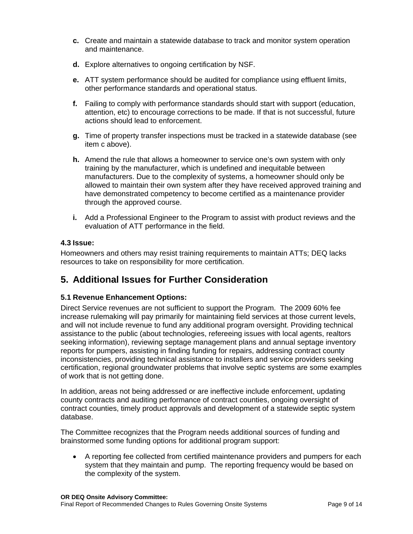- **c.** Create and maintain a statewide database to track and monitor system operation and maintenance.
- **d.** Explore alternatives to ongoing certification by NSF.
- **e.** ATT system performance should be audited for compliance using effluent limits, other performance standards and operational status.
- **f.** Failing to comply with performance standards should start with support (education, attention, etc) to encourage corrections to be made. If that is not successful, future actions should lead to enforcement.
- **g.** Time of property transfer inspections must be tracked in a statewide database (see item c above).
- **h.** Amend the rule that allows a homeowner to service one's own system with only training by the manufacturer, which is undefined and inequitable between manufacturers. Due to the complexity of systems, a homeowner should only be allowed to maintain their own system after they have received approved training and have demonstrated competency to become certified as a maintenance provider through the approved course.
- **i.** Add a Professional Engineer to the Program to assist with product reviews and the evaluation of ATT performance in the field.

#### **4.3 Issue:**

Homeowners and others may resist training requirements to maintain ATTs; DEQ lacks resources to take on responsibility for more certification.

### **5. Additional Issues for Further Consideration**

#### **5.1 Revenue Enhancement Options:**

Direct Service revenues are not sufficient to support the Program. The 2009 60% fee increase rulemaking will pay primarily for maintaining field services at those current levels, and will not include revenue to fund any additional program oversight. Providing technical assistance to the public (about technologies, refereeing issues with local agents, realtors seeking information), reviewing septage management plans and annual septage inventory reports for pumpers, assisting in finding funding for repairs, addressing contract county inconsistencies, providing technical assistance to installers and service providers seeking certification, regional groundwater problems that involve septic systems are some examples of work that is not getting done.

In addition, areas not being addressed or are ineffective include enforcement, updating county contracts and auditing performance of contract counties, ongoing oversight of contract counties, timely product approvals and development of a statewide septic system database.

The Committee recognizes that the Program needs additional sources of funding and brainstormed some funding options for additional program support:

• A reporting fee collected from certified maintenance providers and pumpers for each system that they maintain and pump. The reporting frequency would be based on the complexity of the system.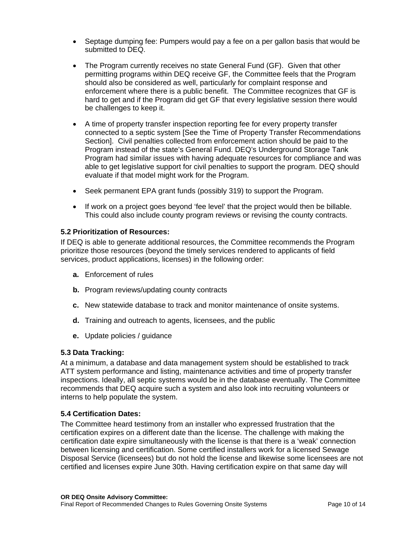- Septage dumping fee: Pumpers would pay a fee on a per gallon basis that would be submitted to DEQ.
- The Program currently receives no state General Fund (GF). Given that other permitting programs within DEQ receive GF, the Committee feels that the Program should also be considered as well, particularly for complaint response and enforcement where there is a public benefit. The Committee recognizes that GF is hard to get and if the Program did get GF that every legislative session there would be challenges to keep it.
- A time of property transfer inspection reporting fee for every property transfer connected to a septic system [See the Time of Property Transfer Recommendations Section]. Civil penalties collected from enforcement action should be paid to the Program instead of the state's General Fund. DEQ's Underground Storage Tank Program had similar issues with having adequate resources for compliance and was able to get legislative support for civil penalties to support the program. DEQ should evaluate if that model might work for the Program.
- Seek permanent EPA grant funds (possibly 319) to support the Program.
- If work on a project goes beyond 'fee level' that the project would then be billable. This could also include county program reviews or revising the county contracts.

#### **5.2 Prioritization of Resources:**

If DEQ is able to generate additional resources, the Committee recommends the Program prioritize those resources (beyond the timely services rendered to applicants of field services, product applications, licenses) in the following order:

- **a.** Enforcement of rules
- **b.** Program reviews/updating county contracts
- **c.** New statewide database to track and monitor maintenance of onsite systems.
- **d.** Training and outreach to agents, licensees, and the public
- **e.** Update policies / guidance

#### **5.3 Data Tracking:**

At a minimum, a database and data management system should be established to track ATT system performance and listing, maintenance activities and time of property transfer inspections. Ideally, all septic systems would be in the database eventually. The Committee recommends that DEQ acquire such a system and also look into recruiting volunteers or interns to help populate the system.

#### **5.4 Certification Dates:**

The Committee heard testimony from an installer who expressed frustration that the certification expires on a different date than the license. The challenge with making the certification date expire simultaneously with the license is that there is a 'weak' connection between licensing and certification. Some certified installers work for a licensed Sewage Disposal Service (licensees) but do not hold the license and likewise some licensees are not certified and licenses expire June 30th. Having certification expire on that same day will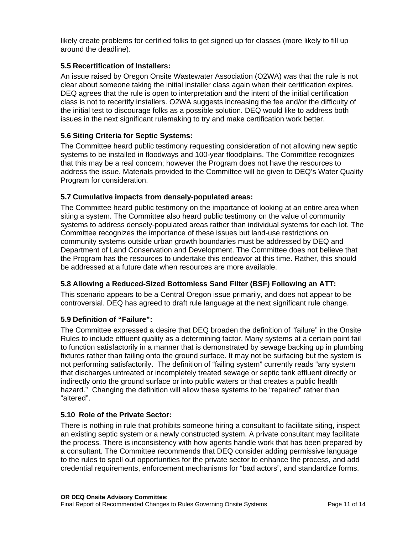likely create problems for certified folks to get signed up for classes (more likely to fill up around the deadline).

#### **5.5 Recertification of Installers:**

An issue raised by Oregon Onsite Wastewater Association (O2WA) was that the rule is not clear about someone taking the initial installer class again when their certification expires. DEQ agrees that the rule is open to interpretation and the intent of the initial certification class is not to recertify installers. O2WA suggests increasing the fee and/or the difficulty of the initial test to discourage folks as a possible solution. DEQ would like to address both issues in the next significant rulemaking to try and make certification work better.

#### **5.6 Siting Criteria for Septic Systems:**

The Committee heard public testimony requesting consideration of not allowing new septic systems to be installed in floodways and 100-year floodplains. The Committee recognizes that this may be a real concern; however the Program does not have the resources to address the issue. Materials provided to the Committee will be given to DEQ's Water Quality Program for consideration.

#### **5.7 Cumulative impacts from densely-populated areas:**

The Committee heard public testimony on the importance of looking at an entire area when siting a system. The Committee also heard public testimony on the value of community systems to address densely-populated areas rather than individual systems for each lot. The Committee recognizes the importance of these issues but land-use restrictions on community systems outside urban growth boundaries must be addressed by DEQ and Department of Land Conservation and Development. The Committee does not believe that the Program has the resources to undertake this endeavor at this time. Rather, this should be addressed at a future date when resources are more available.

#### **5.8 Allowing a Reduced-Sized Bottomless Sand Filter (BSF) Following an ATT:**

This scenario appears to be a Central Oregon issue primarily, and does not appear to be controversial. DEQ has agreed to draft rule language at the next significant rule change.

#### **5.9 Definition of "Failure":**

The Committee expressed a desire that DEQ broaden the definition of "failure" in the Onsite Rules to include effluent quality as a determining factor. Many systems at a certain point fail to function satisfactorily in a manner that is demonstrated by sewage backing up in plumbing fixtures rather than failing onto the ground surface. It may not be surfacing but the system is not performing satisfactorily. The definition of "failing system" currently reads "any system that discharges untreated or incompletely treated sewage or septic tank effluent directly or indirectly onto the ground surface or into public waters or that creates a public health hazard." Changing the definition will allow these systems to be "repaired" rather than "altered".

#### **5.10 Role of the Private Sector:**

There is nothing in rule that prohibits someone hiring a consultant to facilitate siting, inspect an existing septic system or a newly constructed system. A private consultant may facilitate the process. There is inconsistency with how agents handle work that has been prepared by a consultant. The Committee recommends that DEQ consider adding permissive language to the rules to spell out opportunities for the private sector to enhance the process, and add credential requirements, enforcement mechanisms for "bad actors", and standardize forms.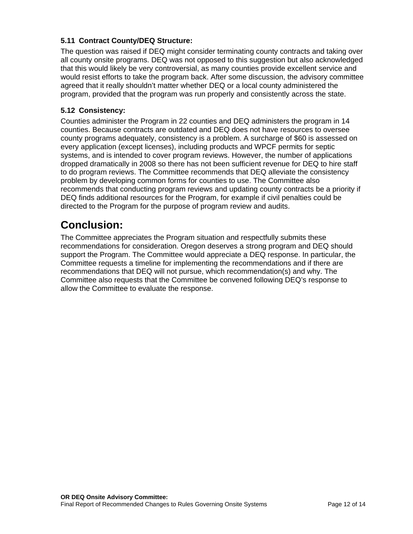#### **5.11 Contract County/DEQ Structure:**

The question was raised if DEQ might consider terminating county contracts and taking over all county onsite programs. DEQ was not opposed to this suggestion but also acknowledged that this would likely be very controversial, as many counties provide excellent service and would resist efforts to take the program back. After some discussion, the advisory committee agreed that it really shouldn't matter whether DEQ or a local county administered the program, provided that the program was run properly and consistently across the state.

#### **5.12 Consistency:**

Counties administer the Program in 22 counties and DEQ administers the program in 14 counties. Because contracts are outdated and DEQ does not have resources to oversee county programs adequately, consistency is a problem. A surcharge of \$60 is assessed on every application (except licenses), including products and WPCF permits for septic systems, and is intended to cover program reviews. However, the number of applications dropped dramatically in 2008 so there has not been sufficient revenue for DEQ to hire staff to do program reviews. The Committee recommends that DEQ alleviate the consistency problem by developing common forms for counties to use. The Committee also recommends that conducting program reviews and updating county contracts be a priority if DEQ finds additional resources for the Program, for example if civil penalties could be directed to the Program for the purpose of program review and audits.

# **Conclusion:**

The Committee appreciates the Program situation and respectfully submits these recommendations for consideration. Oregon deserves a strong program and DEQ should support the Program. The Committee would appreciate a DEQ response. In particular, the Committee requests a timeline for implementing the recommendations and if there are recommendations that DEQ will not pursue, which recommendation(s) and why. The Committee also requests that the Committee be convened following DEQ's response to allow the Committee to evaluate the response.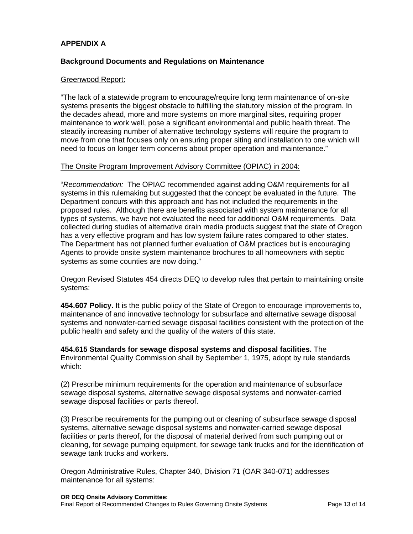#### **APPENDIX A**

#### **Background Documents and Regulations on Maintenance**

#### Greenwood Report:

"The lack of a statewide program to encourage/require long term maintenance of on-site systems presents the biggest obstacle to fulfilling the statutory mission of the program. In the decades ahead, more and more systems on more marginal sites, requiring proper maintenance to work well, pose a significant environmental and public health threat. The steadily increasing number of alternative technology systems will require the program to move from one that focuses only on ensuring proper siting and installation to one which will need to focus on longer term concerns about proper operation and maintenance."

#### The Onsite Program Improvement Advisory Committee (OPIAC) in 2004:

"*Recommendation:* The OPIAC recommended against adding O&M requirements for all systems in this rulemaking but suggested that the concept be evaluated in the future. The Department concurs with this approach and has not included the requirements in the proposed rules. Although there are benefits associated with system maintenance for all types of systems, we have not evaluated the need for additional O&M requirements. Data collected during studies of alternative drain media products suggest that the state of Oregon has a very effective program and has low system failure rates compared to other states. The Department has not planned further evaluation of O&M practices but is encouraging Agents to provide onsite system maintenance brochures to all homeowners with septic systems as some counties are now doing."

Oregon Revised Statutes 454 directs DEQ to develop rules that pertain to maintaining onsite systems:

**454.607 Policy.** It is the public policy of the State of Oregon to encourage improvements to, maintenance of and innovative technology for subsurface and alternative sewage disposal systems and nonwater-carried sewage disposal facilities consistent with the protection of the public health and safety and the quality of the waters of this state.

**454.615 Standards for sewage disposal systems and disposal facilities.** The Environmental Quality Commission shall by September 1, 1975, adopt by rule standards which:

(2) Prescribe minimum requirements for the operation and maintenance of subsurface sewage disposal systems, alternative sewage disposal systems and nonwater-carried sewage disposal facilities or parts thereof.

(3) Prescribe requirements for the pumping out or cleaning of subsurface sewage disposal systems, alternative sewage disposal systems and nonwater-carried sewage disposal facilities or parts thereof, for the disposal of material derived from such pumping out or cleaning, for sewage pumping equipment, for sewage tank trucks and for the identification of sewage tank trucks and workers.

Oregon Administrative Rules, Chapter 340, Division 71 (OAR 340-071) addresses maintenance for all systems: